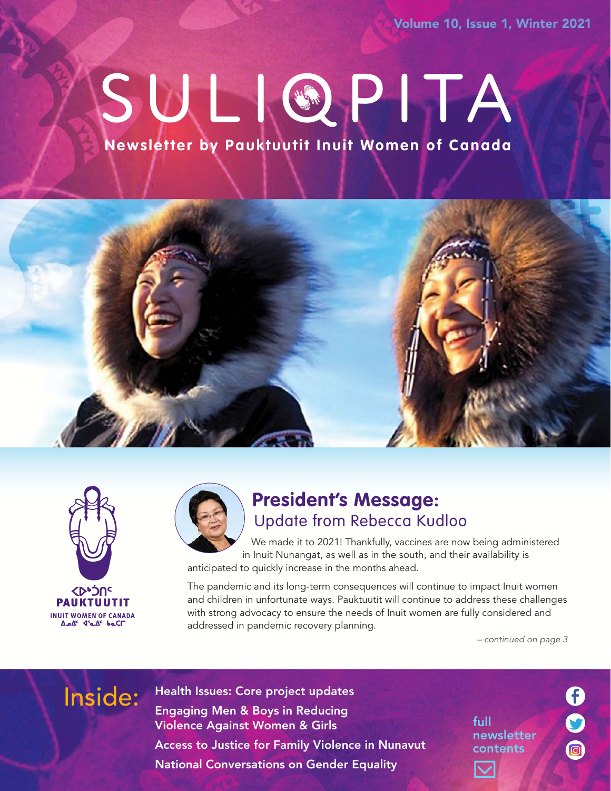Volume 10, Issue 1, Winter 2021

# SULIQPITA

SULID PROTECTIVE ANGLES IN A SULID PARTICULAR ANGLES IN A BAGING TALENT PARTICULAR ANGLES IN A SULID PARTICULAR

**Newsletter by Pauktuutit Inuit Women of Canada**







### **President's Message:**  Update from Rebecca Kudloo

We made it to 2021! Thankfully, vaccines are now being administered in Inuit Nunangat, as well as in the south, and their availability is anticipated to quickly increase in the months ahead.

The pandemic and its long-term consequences will continue to impact Inuit women and children in unfortunate ways. Pauktuutit will continue to address these challenges with strong advocacy to ensure the needs of Inuit women are fully considered and addressed in pandemic recovery planning.

*– continued on page 3*

Inside: Health Issues: Core project updates Engaging Men & Boys in Reducing Violence Against Women & Girls Access to Justice for Family Violence in Nunavut National Conversations on Gender Equality

full newsletter contents

 $\bm{\vee}$ 

0<br>0<br>0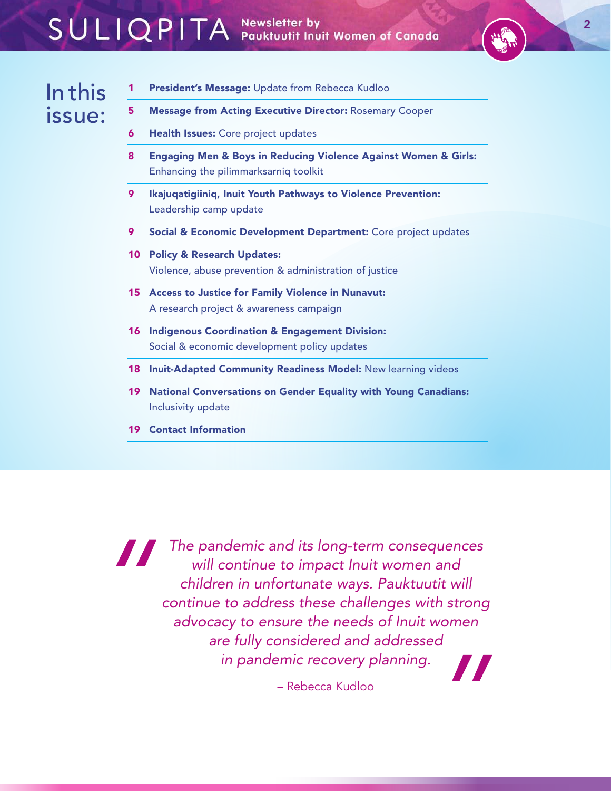# In this issue:

- 1 President's Message: Update from Rebecca Kudloo
- 5 Message from Acting Executive Director: Rosemary Cooper
- **6 Health Issues:** Core project updates
- 8 Engaging Men & Boys in Reducing Violence Against Women & Girls: Enhancing the pilimmarksarniq toolkit
- 9 Ikajuqatigiiniq, Inuit Youth Pathways to Violence Prevention: Leadership camp update
- Social & Economic Development Department: Core project updates
- 10 Policy & Research Updates: Violence, abuse prevention & administration of justice
- 15 Access to Justice for Family Violence in Nunavut: A research project & awareness campaign
- 16 Indigenous Coordination & Engagement Division: Social & economic development policy updates
- 18 Inuit-Adapted Community Readiness Model: New learning videos
- 19 National Conversations on Gender Equality with Young Canadians: Inclusivity update
- 19 Contact Information

*The pandemic and its long-term consequences will continue to impact Inuit women and children in unfortunate ways. Pauktuutit will continue to address these challenges with strong advocacy to ensure the needs of Inuit women are fully considered and addressed in pandemic recovery planning.* 77

– Rebecca Kudloo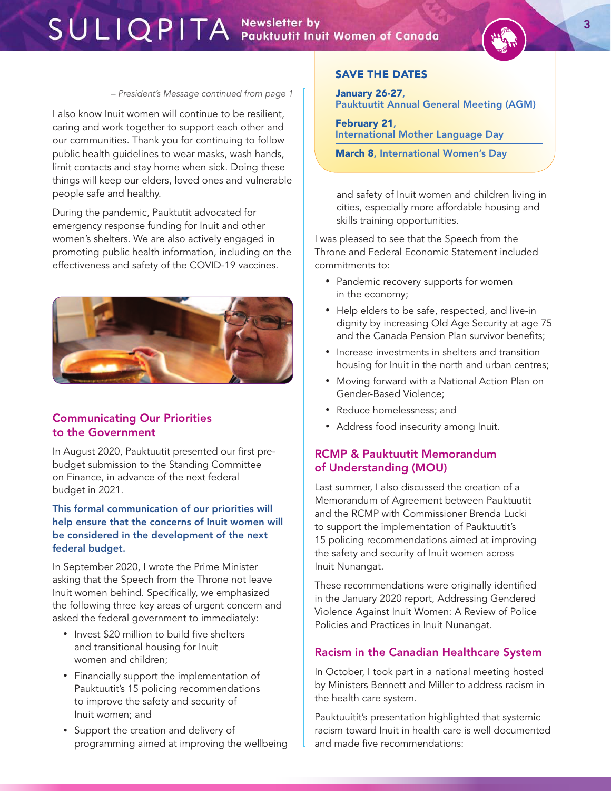#### *– President's Message continued from page 1*

I also know Inuit women will continue to be resilient, caring and work together to support each other and our communities. Thank you for continuing to follow public health guidelines to wear masks, wash hands, limit contacts and stay home when sick. Doing these things will keep our elders, loved ones and vulnerable people safe and healthy.

During the pandemic, Pauktutit advocated for emergency response funding for Inuit and other women's shelters. We are also actively engaged in promoting public health information, including on the effectiveness and safety of the COVID-19 vaccines.



#### Communicating Our Priorities to the Government

In August 2020, Pauktuutit presented our first prebudget submission to the Standing Committee on Finance, in advance of the next federal budget in 2021.

#### This formal communication of our priorities will help ensure that the concerns of Inuit women will be considered in the development of the next federal budget.

In September 2020, I wrote the Prime Minister asking that the Speech from the Throne not leave Inuit women behind. Specifically, we emphasized the following three key areas of urgent concern and asked the federal government to immediately:

- Invest \$20 million to build five shelters and transitional housing for Inuit women and children;
- • Financially support the implementation of Pauktuutit's 15 policing recommendations to improve the safety and security of Inuit women; and
- Support the creation and delivery of programming aimed at improving the wellbeing

#### SAVE THE DATES

January 26-27, Pauktuutit Annual General Meeting (AGM)

February 21, International Mother Language Day

March 8, International Women's Day

and safety of Inuit women and children living in cities, especially more affordable housing and skills training opportunities.

I was pleased to see that the Speech from the Throne and Federal Economic Statement included commitments to:

- Pandemic recovery supports for women in the economy;
- Help elders to be safe, respected, and live-in dignity by increasing Old Age Security at age 75 and the Canada Pension Plan survivor benefits;
- Increase investments in shelters and transition housing for Inuit in the north and urban centres;
- Moving forward with a National Action Plan on Gender-Based Violence;
- • Reduce homelessness; and
- Address food insecurity among Inuit.

#### RCMP & Pauktuutit Memorandum of Understanding (MOU)

Last summer, I also discussed the creation of a Memorandum of Agreement between Pauktuutit and the RCMP with Commissioner Brenda Lucki to support the implementation of Pauktuutit's 15 policing recommendations aimed at improving the safety and security of Inuit women across Inuit Nunangat.

These recommendations were originally identified in the January 2020 report, Addressing Gendered Violence Against Inuit Women: A Review of Police Policies and Practices in Inuit Nunangat.

#### Racism in the Canadian Healthcare System

In October, I took part in a national meeting hosted by Ministers Bennett and Miller to address racism in the health care system.

Pauktuuitit's presentation highlighted that systemic racism toward Inuit in health care is well documented and made five recommendations: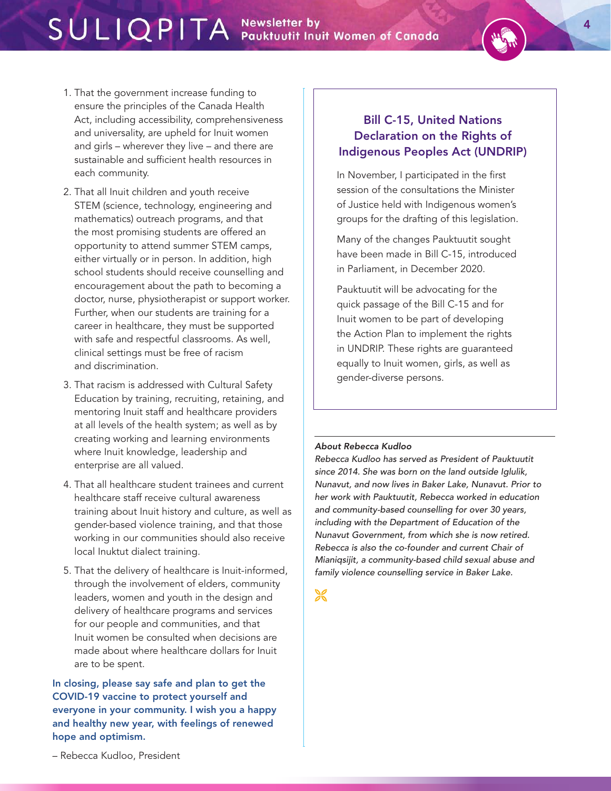- 1. That the government increase funding to ensure the principles of the Canada Health Act, including accessibility, comprehensiveness and universality, are upheld for Inuit women and girls – wherever they live – and there are sustainable and sufficient health resources in each community.
- 2. That all Inuit children and youth receive STEM (science, technology, engineering and mathematics) outreach programs, and that the most promising students are offered an opportunity to attend summer STEM camps, either virtually or in person. In addition, high school students should receive counselling and encouragement about the path to becoming a doctor, nurse, physiotherapist or support worker. Further, when our students are training for a career in healthcare, they must be supported with safe and respectful classrooms. As well, clinical settings must be free of racism and discrimination.
- 3. That racism is addressed with Cultural Safety Education by training, recruiting, retaining, and mentoring Inuit staff and healthcare providers at all levels of the health system; as well as by creating working and learning environments where Inuit knowledge, leadership and enterprise are all valued.
- 4. That all healthcare student trainees and current healthcare staff receive cultural awareness training about Inuit history and culture, as well as gender-based violence training, and that those working in our communities should also receive local Inuktut dialect training.
- 5. That the delivery of healthcare is Inuit-informed, through the involvement of elders, community leaders, women and youth in the design and delivery of healthcare programs and services for our people and communities, and that Inuit women be consulted when decisions are made about where healthcare dollars for Inuit are to be spent.

In closing, please say safe and plan to get the COVID-19 vaccine to protect yourself and everyone in your community. I wish you a happy and healthy new year, with feelings of renewed hope and optimism.

#### Bill C-15, United Nations Declaration on the Rights of Indigenous Peoples Act (UNDRIP)

In November, I participated in the first session of the consultations the Minister of Justice held with Indigenous women's groups for the drafting of this legislation.

Many of the changes Pauktuutit sought have been made in Bill C-15, introduced in Parliament, in December 2020.

Pauktuutit will be advocating for the quick passage of the Bill C-15 and for Inuit women to be part of developing the Action Plan to implement the rights in UNDRIP. These rights are guaranteed equally to Inuit women, girls, as well as gender-diverse persons.

#### *About Rebecca Kudloo*

*Rebecca Kudloo has served as President of Pauktuutit since 2014. She was born on the land outside Iglulik, Nunavut, and now lives in Baker Lake, Nunavut. Prior to her work with Pauktuutit, Rebecca worked in education and community-based counselling for over 30 years, including with the Department of Education of the Nunavut Government, from which she is now retired. Rebecca is also the co-founder and current Chair of Mianiqsijit, a community-based child sexual abuse and family violence counselling service in Baker Lake.* 

 $\frac{1}{26}$ 

– Rebecca Kudloo, President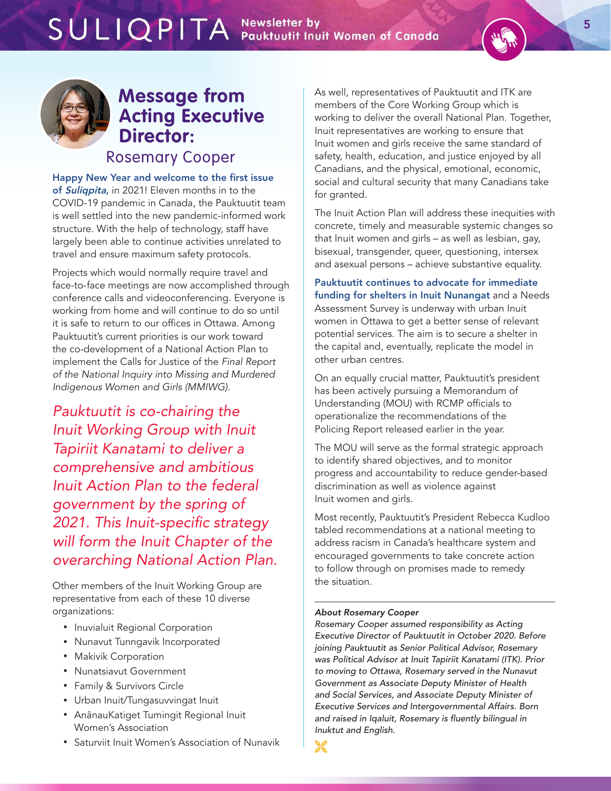

### **Message from Acting Executive Director:**  Rosemary Cooper

Happy New Year and welcome to the first issue of Suliqpita, in 2021! Eleven months in to the COVID-19 pandemic in Canada, the Pauktuutit team is well settled into the new pandemic-informed work structure. With the help of technology, staff have largely been able to continue activities unrelated to travel and ensure maximum safety protocols.

Projects which would normally require travel and face-to-face meetings are now accomplished through conference calls and videoconferencing. Everyone is working from home and will continue to do so until it is safe to return to our offices in Ottawa. Among Pauktuutit's current priorities is our work toward the co-development of a National Action Plan to implement the Calls for Justice of the *Final Report of the National Inquiry into Missing and Murdered Indigenous Women and Girls (MMIWG).* 

*Pauktuutit is co-chairing the Inuit Working Group with Inuit Tapiriit Kanatami to deliver a comprehensive and ambitious Inuit Action Plan to the federal government by the spring of 2021. This Inuit-specific strategy will form the Inuit Chapter of the overarching National Action Plan.* 

Other members of the Inuit Working Group are representative from each of these 10 diverse organizations:

- Inuvialuit Regional Corporation
- • Nunavut Tunngavik Incorporated
- Makivik Corporation
- • Nunatsiavut Government
- • Family & Survivors Circle
- • Urban Inuit/Tungasuvvingat Inuit
- • AnânauKatiget Tumingit Regional Inuit Women's Association
- • Saturviit Inuit Women's Association of Nunavik

As well, representatives of Pauktuutit and ITK are members of the Core Working Group which is working to deliver the overall National Plan. Together, Inuit representatives are working to ensure that Inuit women and girls receive the same standard of safety, health, education, and justice enjoyed by all Canadians, and the physical, emotional, economic, social and cultural security that many Canadians take for granted.

The Inuit Action Plan will address these inequities with concrete, timely and measurable systemic changes so that Inuit women and girls – as well as lesbian, gay, bisexual, transgender, queer, questioning, intersex and asexual persons – achieve substantive equality.

Pauktuutit continues to advocate for immediate funding for shelters in Inuit Nunangat and a Needs Assessment Survey is underway with urban Inuit women in Ottawa to get a better sense of relevant potential services. The aim is to secure a shelter in the capital and, eventually, replicate the model in other urban centres.

On an equally crucial matter, Pauktuutit's president has been actively pursuing a Memorandum of Understanding (MOU) with RCMP officials to operationalize the recommendations of the Policing Report released earlier in the year.

The MOU will serve as the formal strategic approach to identify shared objectives, and to monitor progress and accountability to reduce gender-based discrimination as well as violence against Inuit women and girls.

Most recently, Pauktuutit's President Rebecca Kudloo tabled recommendations at a national meeting to address racism in Canada's healthcare system and encouraged governments to take concrete action to follow through on promises made to remedy the situation.

#### *About Rosemary Cooper*

 $\frac{1}{26}$ 

*Rosemary Cooper assumed responsibility as Acting Executive Director of Pauktuutit in October 2020. Before joining Pauktuutit as Senior Political Advisor, Rosemary was Political Advisor at Inuit Tapiriit Kanatami (ITK). Prior to moving to Ottawa, Rosemary served in the Nunavut Government as Associate Deputy Minister of Health and Social Services, and Associate Deputy Minister of Executive Services and Intergovernmental Affairs. Born and raised in Iqaluit, Rosemary is fluently bilingual in Inuktut and English.*

5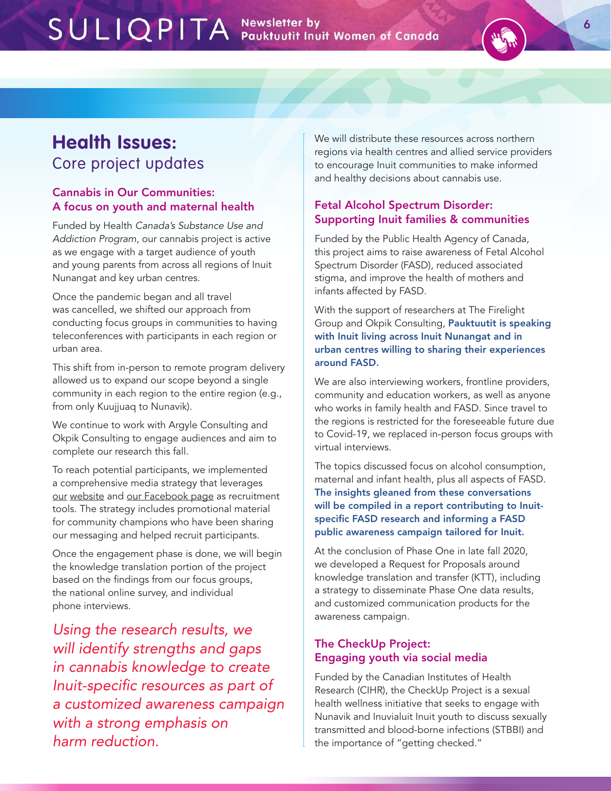# **Health Issues:**  Core project updates

#### Cannabis in Our Communities: A focus on youth and maternal health

Funded by Health *Canada's Substance Use and Addiction Program*, our cannabis project is active as we engage with a target audience of youth and young parents from across all regions of Inuit Nunangat and key urban centres.

Once the pandemic began and all travel was cancelled, we shifted our approach from conducting focus groups in communities to having teleconferences with participants in each region or urban area.

This shift from in-person to remote program delivery allowed us to expand our scope beyond a single community in each region to the entire region (e.g., from only Kuujjuaq to Nunavik).

We continue to work with Argyle Consulting and Okpik Consulting to engage audiences and aim to complete our research this fall.

To reach potential participants, we implemented a comprehensive media strategy that leverages our [website](https://www.pauktuutit.ca/health/cannabis-in-our-communities/) and [our Facebook page](https://www.facebook.com/watch/?v=251617199563377) as recruitment tools. The strategy includes promotional material for community champions who have been sharing our messaging and helped recruit participants.

Once the engagement phase is done, we will begin the knowledge translation portion of the project based on the findings from our focus groups, the national online survey, and individual phone interviews.

*Using the research results, we will identify strengths and gaps in cannabis knowledge to create Inuit-specific resources as part of a customized awareness campaign with a strong emphasis on harm reduction.*

We will distribute these resources across northern regions via health centres and allied service providers to encourage Inuit communities to make informed and healthy decisions about cannabis use.

6

#### Fetal Alcohol Spectrum Disorder: Supporting Inuit families & communities

Funded by the Public Health Agency of Canada, this project aims to raise awareness of Fetal Alcohol Spectrum Disorder (FASD), reduced associated stigma, and improve the health of mothers and infants affected by FASD.

With the support of researchers at The Firelight Group and Okpik Consulting, Pauktuutit is speaking with Inuit living across Inuit Nunangat and in urban centres willing to sharing their experiences around FASD.

We are also interviewing workers, frontline providers, community and education workers, as well as anyone who works in family health and FASD. Since travel to the regions is restricted for the foreseeable future due to Covid-19, we replaced in-person focus groups with virtual interviews.

The topics discussed focus on alcohol consumption, maternal and infant health, plus all aspects of FASD. The insights gleaned from these conversations will be compiled in a report contributing to Inuitspecific FASD research and informing a FASD public awareness campaign tailored for Inuit.

At the conclusion of Phase One in late fall 2020, we developed a Request for Proposals around knowledge translation and transfer (KTT), including a strategy to disseminate Phase One data results, and customized communication products for the awareness campaign.

#### The CheckUp Project: Engaging youth via social media

Funded by the Canadian Institutes of Health Research (CIHR), the CheckUp Project is a sexual health wellness initiative that seeks to engage with Nunavik and Inuvialuit Inuit youth to discuss sexually transmitted and blood-borne infections (STBBI) and the importance of "getting checked."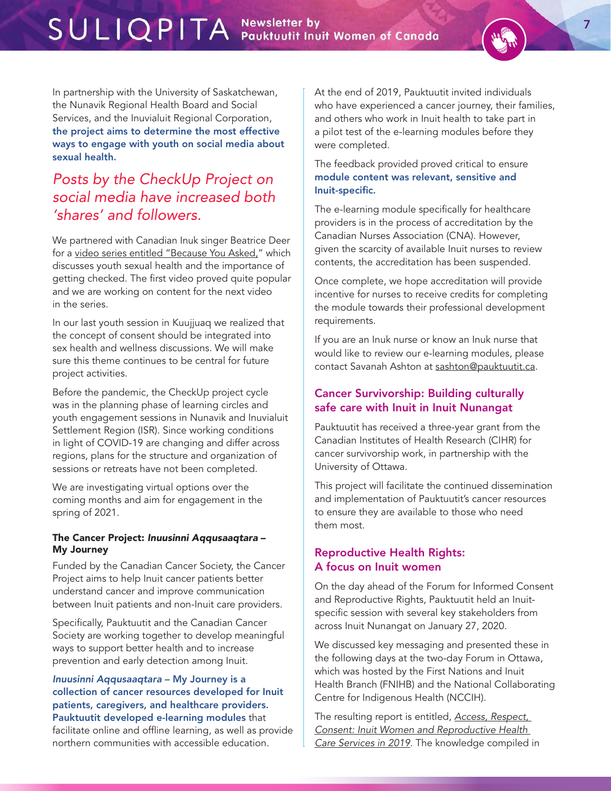In partnership with the University of Saskatchewan, the Nunavik Regional Health Board and Social Services, and the Inuvialuit Regional Corporation, the project aims to determine the most effective ways to engage with youth on social media about sexual health.

### *Posts by the CheckUp Project on social media have increased both 'shares' and followers.*

We partnered with Canadian Inuk singer Beatrice Deer for a [video series entitled "Because You Asked,"](https://www.facebook.com/CheckUpProject/posts/2343458409296864) which discusses youth sexual health and the importance of getting checked. The first video proved quite popular and we are working on content for the next video in the series.

In our last youth session in Kuujjuaq we realized that the concept of consent should be integrated into sex health and wellness discussions. We will make sure this theme continues to be central for future project activities.

Before the pandemic, the CheckUp project cycle was in the planning phase of learning circles and youth engagement sessions in Nunavik and Inuvialuit Settlement Region (ISR). Since working conditions in light of COVID-19 are changing and differ across regions, plans for the structure and organization of sessions or retreats have not been completed.

We are investigating virtual options over the coming months and aim for engagement in the spring of 2021.

#### The Cancer Project: *Inuusinni Aqqusaaqtara* – My Journey

Funded by the Canadian Cancer Society, the Cancer Project aims to help Inuit cancer patients better understand cancer and improve communication between Inuit patients and non-Inuit care providers.

Specifically, Pauktuutit and the Canadian Cancer Society are working together to develop meaningful ways to support better health and to increase prevention and early detection among Inuit.

#### *Inuusinni Aqqusaaqtara* – My Journey is a collection of cancer resources developed for Inuit patients, caregivers, and healthcare providers. Pauktuutit developed e-learning modules that facilitate online and offline learning, as well as provide northern communities with accessible education.

At the end of 2019, Pauktuutit invited individuals who have experienced a cancer journey, their families, and others who work in Inuit health to take part in a pilot test of the e-learning modules before they were completed.

#### The feedback provided proved critical to ensure module content was relevant, sensitive and Inuit-specific.

The e-learning module specifically for healthcare providers is in the process of accreditation by the Canadian Nurses Association (CNA). However, given the scarcity of available Inuit nurses to review contents, the accreditation has been suspended.

Once complete, we hope accreditation will provide incentive for nurses to receive credits for completing the module towards their professional development requirements.

If you are an Inuk nurse or know an Inuk nurse that would like to review our e-learning modules, please contact Savanah Ashton at sashton@pauktuutit.ca.

#### Cancer Survivorship: Building culturally safe care with Inuit in Inuit Nunangat

Pauktuutit has received a three-year grant from the Canadian Institutes of Health Research (CIHR) for cancer survivorship work, in partnership with the University of Ottawa.

This project will facilitate the continued dissemination and implementation of Pauktuutit's cancer resources to ensure they are available to those who need them most.

#### Reproductive Health Rights: A focus on Inuit women

On the day ahead of the Forum for Informed Consent and Reproductive Rights, Pauktuutit held an Inuitspecific session with several key stakeholders from across Inuit Nunangat on January 27, 2020.

We discussed key messaging and presented these in the following days at the two-day Forum in Ottawa, which was hosted by the First Nations and Inuit Health Branch (FNIHB) and the National Collaborating Centre for Indigenous Health (NCCIH).

The resulting report is entitled, *[Access, Respect,](https://www.pauktuutit.ca/health/maternal-health/reproductive-health-rights/)  [Consent: Inuit Women and Reproductive Health](https://www.pauktuutit.ca/health/maternal-health/reproductive-health-rights/)  [Care Services in 2019](https://www.pauktuutit.ca/health/maternal-health/reproductive-health-rights/)*. The knowledge compiled in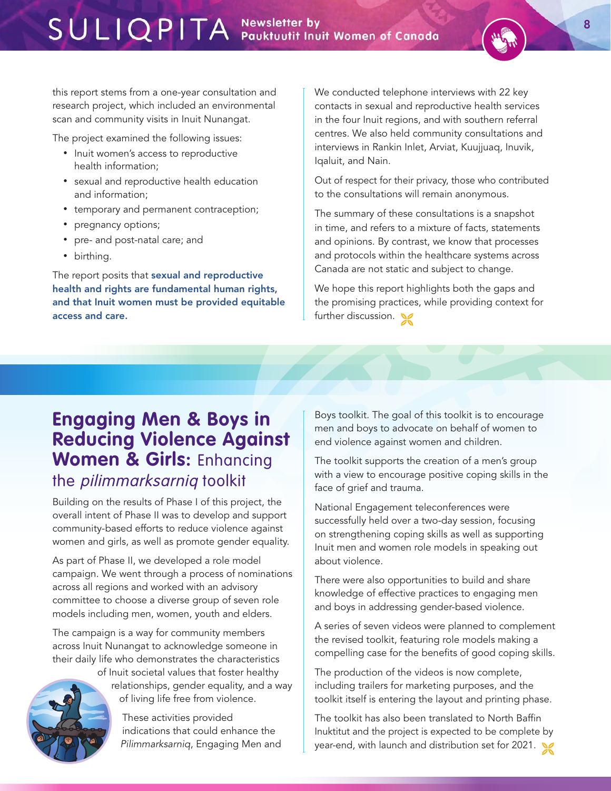this report stems from a one-year consultation and research project, which included an environmental scan and community visits in Inuit Nunangat.

The project examined the following issues:

- • Inuit women's access to reproductive health information;
- • sexual and reproductive health education and information;
- temporary and permanent contraception;
- pregnancy options;
- pre- and post-natal care; and
- birthing.

The report posits that sexual and reproductive health and rights are fundamental human rights, and that Inuit women must be provided equitable access and care.

We conducted telephone interviews with 22 key contacts in sexual and reproductive health services in the four Inuit regions, and with southern referral centres. We also held community consultations and interviews in Rankin Inlet, Arviat, Kuujjuaq, Inuvik, Iqaluit, and Nain.

Out of respect for their privacy, those who contributed to the consultations will remain anonymous.

The summary of these consultations is a snapshot in time, and refers to a mixture of facts, statements and opinions. By contrast, we know that processes and protocols within the healthcare systems across Canada are not static and subject to change.

We hope this report highlights both the gaps and the promising practices, while providing context for further discussion.

# **Engaging Men & Boys in Reducing Violence Against Women & Girls:** Enhancing the pilimmarksarniq toolkit

Building on the results of Phase I of this project, the overall intent of Phase II was to develop and support community-based efforts to reduce violence against women and girls, as well as promote gender equality.

As part of Phase II, we developed a role model campaign. We went through a process of nominations across all regions and worked with an advisory committee to choose a diverse group of seven role models including men, women, youth and elders.

The campaign is a way for community members across Inuit Nunangat to acknowledge someone in their daily life who demonstrates the characteristics



of Inuit societal values that foster healthy relationships, gender equality, and a way of living life free from violence.

> These activities provided indications that could enhance the *Pilimmarksarniq*, Engaging Men and

Boys toolkit. The goal of this toolkit is to encourage men and boys to advocate on behalf of women to end violence against women and children.

The toolkit supports the creation of a men's group with a view to encourage positive coping skills in the face of grief and trauma.

National Engagement teleconferences were successfully held over a two-day session, focusing on strengthening coping skills as well as supporting Inuit men and women role models in speaking out about violence.

There were also opportunities to build and share knowledge of effective practices to engaging men and boys in addressing gender-based violence.

A series of seven videos were planned to complement the revised toolkit, featuring role models making a compelling case for the benefits of good coping skills.

The production of the videos is now complete, including trailers for marketing purposes, and the toolkit itself is entering the layout and printing phase.

The toolkit has also been translated to North Baffin Inuktitut and the project is expected to be complete by year-end, with launch and distribution set for 2021.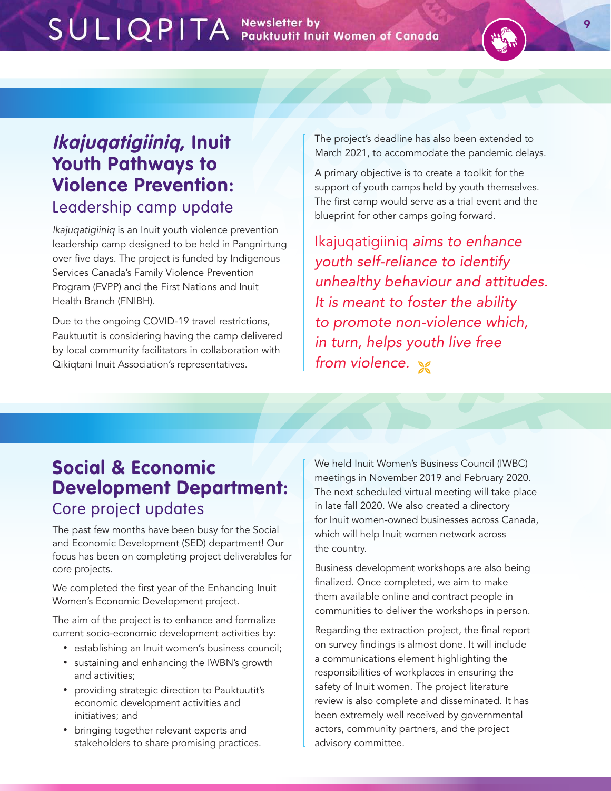# **Ikajuqatigiiniq, Inuit Youth Pathways to Violence Prevention:**  Leadership camp update

*Ikajuqatigiiniq* is an Inuit youth violence prevention leadership camp designed to be held in Pangnirtung over five days. The project is funded by Indigenous Services Canada's Family Violence Prevention Program (FVPP) and the First Nations and Inuit Health Branch (FNIBH).

Due to the ongoing COVID-19 travel restrictions, Pauktuutit is considering having the camp delivered by local community facilitators in collaboration with Qikiqtani Inuit Association's representatives.

The project's deadline has also been extended to March 2021, to accommodate the pandemic delays.

A primary objective is to create a toolkit for the support of youth camps held by youth themselves. The first camp would serve as a trial event and the blueprint for other camps going forward.

Ikajuqatigiiniq *aims to enhance youth self-reliance to identify unhealthy behaviour and attitudes. It is meant to foster the ability to promote non-violence which, in turn, helps youth live free from violence.* 

# **Social & Economic Development Department:**  Core project updates

The past few months have been busy for the Social and Economic Development (SED) department! Our focus has been on completing project deliverables for core projects.

We completed the first year of the Enhancing Inuit Women's Economic Development project.

The aim of the project is to enhance and formalize current socio-economic development activities by:

- establishing an Inuit women's business council;
- sustaining and enhancing the IWBN's growth and activities;
- • providing strategic direction to Pauktuutit's economic development activities and initiatives; and
- bringing together relevant experts and stakeholders to share promising practices.

We held Inuit Women's Business Council (IWBC) meetings in November 2019 and February 2020. The next scheduled virtual meeting will take place in late fall 2020. We also created a directory for Inuit women-owned businesses across Canada, which will help Inuit women network across the country.

Business development workshops are also being finalized. Once completed, we aim to make them available online and contract people in communities to deliver the workshops in person.

Regarding the extraction project, the final report on survey findings is almost done. It will include a communications element highlighting the responsibilities of workplaces in ensuring the safety of Inuit women. The project literature review is also complete and disseminated. It has been extremely well received by governmental actors, community partners, and the project advisory committee.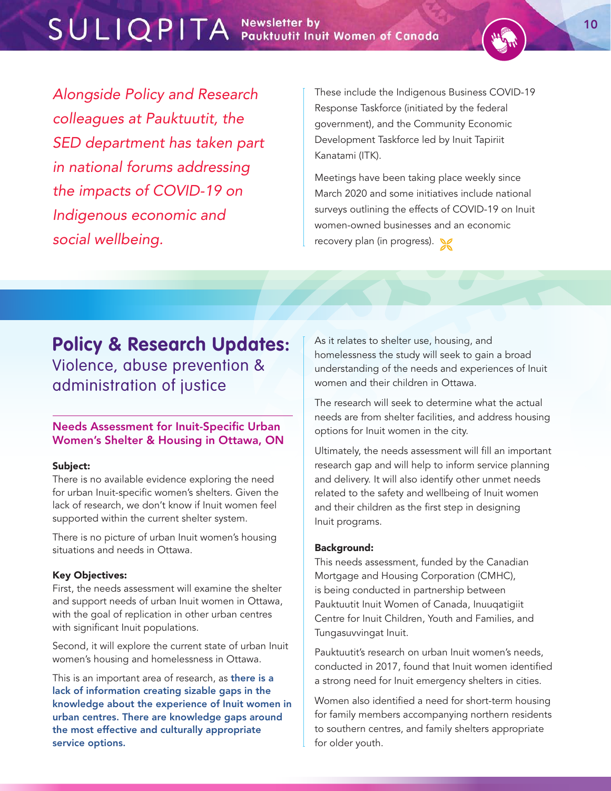*Alongside Policy and Research colleagues at Pauktuutit, the SED department has taken part in national forums addressing the impacts of COVID-19 on Indigenous economic and social wellbeing.* 

These include the Indigenous Business COVID-19 Response Taskforce (initiated by the federal government), and the Community Economic Development Taskforce led by Inuit Tapiriit Kanatami (ITK).

Meetings have been taking place weekly since March 2020 and some initiatives include national surveys outlining the effects of COVID-19 on Inuit women-owned businesses and an economic recovery plan (in progress).

### **Policy & Research Updates:**  Violence, abuse prevention & administration of justice

#### Needs Assessment for Inuit-Specific Urban Women's Shelter & Housing in Ottawa, ON

#### Subject:

There is no available evidence exploring the need for urban Inuit-specific women's shelters. Given the lack of research, we don't know if Inuit women feel supported within the current shelter system.

There is no picture of urban Inuit women's housing situations and needs in Ottawa.

#### Key Objectives:

First, the needs assessment will examine the shelter and support needs of urban Inuit women in Ottawa, with the goal of replication in other urban centres with significant Inuit populations.

Second, it will explore the current state of urban Inuit women's housing and homelessness in Ottawa.

This is an important area of research, as **there is a** lack of information creating sizable gaps in the knowledge about the experience of Inuit women in urban centres. There are knowledge gaps around the most effective and culturally appropriate service options.

As it relates to shelter use, housing, and homelessness the study will seek to gain a broad understanding of the needs and experiences of Inuit women and their children in Ottawa.

The research will seek to determine what the actual needs are from shelter facilities, and address housing options for Inuit women in the city.

Ultimately, the needs assessment will fill an important research gap and will help to inform service planning and delivery. It will also identify other unmet needs related to the safety and wellbeing of Inuit women and their children as the first step in designing Inuit programs.

#### Background:

This needs assessment, funded by the Canadian Mortgage and Housing Corporation (CMHC), is being conducted in partnership between Pauktuutit Inuit Women of Canada, Inuuqatigiit Centre for Inuit Children, Youth and Families, and Tungasuvvingat Inuit.

Pauktuutit's research on urban Inuit women's needs, conducted in 2017, found that Inuit women identified a strong need for Inuit emergency shelters in cities.

Women also identified a need for short-term housing for family members accompanying northern residents to southern centres, and family shelters appropriate for older youth.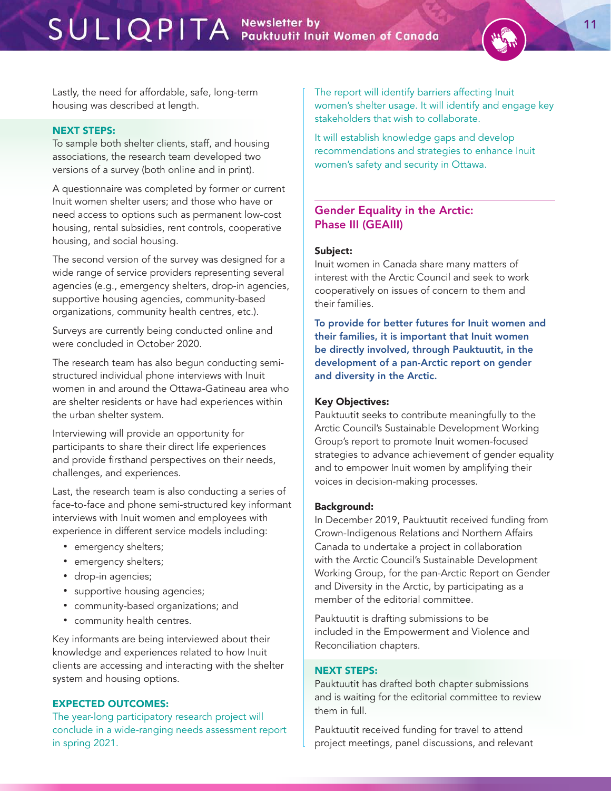Lastly, the need for affordable, safe, long-term housing was described at length.

#### NEXT STEPS:

To sample both shelter clients, staff, and housing associations, the research team developed two versions of a survey (both online and in print).

A questionnaire was completed by former or current Inuit women shelter users; and those who have or need access to options such as permanent low-cost housing, rental subsidies, rent controls, cooperative housing, and social housing.

The second version of the survey was designed for a wide range of service providers representing several agencies (e.g., emergency shelters, drop-in agencies, supportive housing agencies, community-based organizations, community health centres, etc.).

Surveys are currently being conducted online and were concluded in October 2020.

The research team has also begun conducting semistructured individual phone interviews with Inuit women in and around the Ottawa-Gatineau area who are shelter residents or have had experiences within the urban shelter system.

Interviewing will provide an opportunity for participants to share their direct life experiences and provide firsthand perspectives on their needs, challenges, and experiences.

Last, the research team is also conducting a series of face-to-face and phone semi-structured key informant interviews with Inuit women and employees with experience in different service models including:

- emergency shelters;
- emergency shelters;
- drop-in agencies;
- supportive housing agencies;
- • community-based organizations; and
- • community health centres.

Key informants are being interviewed about their knowledge and experiences related to how Inuit clients are accessing and interacting with the shelter system and housing options.

#### EXPECTED OUTCOMES:

The year-long participatory research project will conclude in a wide-ranging needs assessment report in spring 2021.

The report will identify barriers affecting Inuit women's shelter usage. It will identify and engage key stakeholders that wish to collaborate.

It will establish knowledge gaps and develop recommendations and strategies to enhance Inuit women's safety and security in Ottawa.

#### Gender Equality in the Arctic: Phase III (GEAIII)

#### Subject:

Inuit women in Canada share many matters of interest with the Arctic Council and seek to work cooperatively on issues of concern to them and their families.

To provide for better futures for Inuit women and their families, it is important that Inuit women be directly involved, through Pauktuutit, in the development of a pan-Arctic report on gender and diversity in the Arctic.

#### Key Objectives:

Pauktuutit seeks to contribute meaningfully to the Arctic Council's Sustainable Development Working Group's report to promote Inuit women-focused strategies to advance achievement of gender equality and to empower Inuit women by amplifying their voices in decision-making processes.

#### Background:

In December 2019, Pauktuutit received funding from Crown-Indigenous Relations and Northern Affairs Canada to undertake a project in collaboration with the Arctic Council's Sustainable Development Working Group, for the pan-Arctic Report on Gender and Diversity in the Arctic, by participating as a member of the editorial committee.

Pauktuutit is drafting submissions to be included in the Empowerment and Violence and Reconciliation chapters.

#### NEXT STEPS:

Pauktuutit has drafted both chapter submissions and is waiting for the editorial committee to review them in full.

Pauktuutit received funding for travel to attend project meetings, panel discussions, and relevant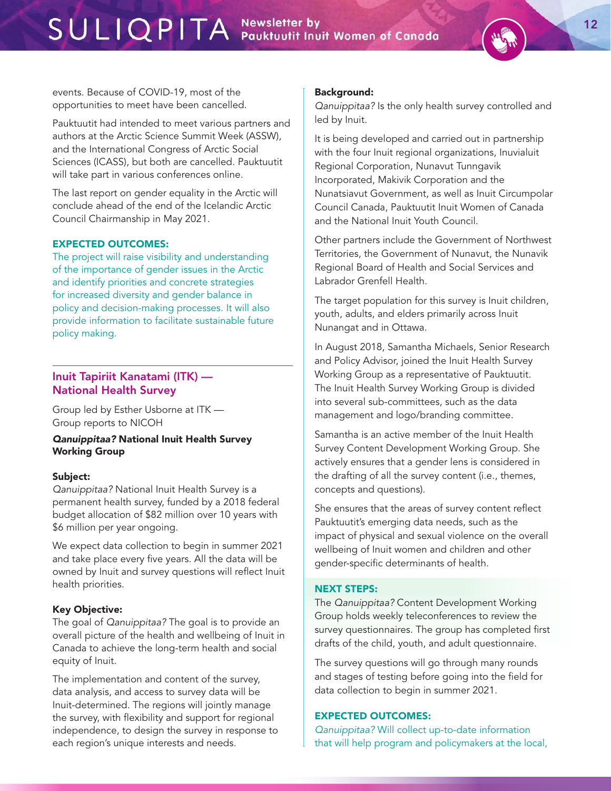events. Because of COVID-19, most of the opportunities to meet have been cancelled.

Pauktuutit had intended to meet various partners and authors at the Arctic Science Summit Week (ASSW), and the International Congress of Arctic Social Sciences (ICASS), but both are cancelled. Pauktuutit will take part in various conferences online.

The last report on gender equality in the Arctic will conclude ahead of the end of the Icelandic Arctic Council Chairmanship in May 2021.

#### EXPECTED OUTCOMES:

The project will raise visibility and understanding of the importance of gender issues in the Arctic and identify priorities and concrete strategies for increased diversity and gender balance in policy and decision-making processes. It will also provide information to facilitate sustainable future policy making.

#### Inuit Tapiriit Kanatami (ITK) — National Health Survey

Group led by Esther Usborne at ITK — Group reports to NICOH

#### *Qanuippitaa?* National Inuit Health Survey Working Group

#### Subject:

*Qanuippitaa?* National Inuit Health Survey is a permanent health survey, funded by a 2018 federal budget allocation of \$82 million over 10 years with \$6 million per year ongoing.

We expect data collection to begin in summer 2021 and take place every five years. All the data will be owned by Inuit and survey questions will reflect Inuit health priorities.

#### Key Objective:

The goal of *Qanuippitaa?* The goal is to provide an overall picture of the health and wellbeing of Inuit in Canada to achieve the long-term health and social equity of Inuit.

The implementation and content of the survey, data analysis, and access to survey data will be Inuit-determined. The regions will jointly manage the survey, with flexibility and support for regional independence, to design the survey in response to each region's unique interests and needs.

#### Background:

*Qanuippitaa?* Is the only health survey controlled and led by Inuit.

It is being developed and carried out in partnership with the four Inuit regional organizations, Inuvialuit Regional Corporation, Nunavut Tunngavik Incorporated, Makivik Corporation and the Nunatsiavut Government, as well as Inuit Circumpolar Council Canada, Pauktuutit Inuit Women of Canada and the National Inuit Youth Council.

Other partners include the Government of Northwest Territories, the Government of Nunavut, the Nunavik Regional Board of Health and Social Services and Labrador Grenfell Health.

The target population for this survey is Inuit children, youth, adults, and elders primarily across Inuit Nunangat and in Ottawa.

In August 2018, Samantha Michaels, Senior Research and Policy Advisor, joined the Inuit Health Survey Working Group as a representative of Pauktuutit. The Inuit Health Survey Working Group is divided into several sub-committees, such as the data management and logo/branding committee.

Samantha is an active member of the Inuit Health Survey Content Development Working Group. She actively ensures that a gender lens is considered in the drafting of all the survey content (i.e., themes, concepts and questions).

She ensures that the areas of survey content reflect Pauktuutit's emerging data needs, such as the impact of physical and sexual violence on the overall wellbeing of Inuit women and children and other gender-specific determinants of health.

#### NEXT STEPS:

The *Qanuippitaa?* Content Development Working Group holds weekly teleconferences to review the survey questionnaires. The group has completed first drafts of the child, youth, and adult questionnaire.

The survey questions will go through many rounds and stages of testing before going into the field for data collection to begin in summer 2021.

#### EXPECTED OUTCOMES:

*Qanuippitaa?* Will collect up-to-date information that will help program and policymakers at the local,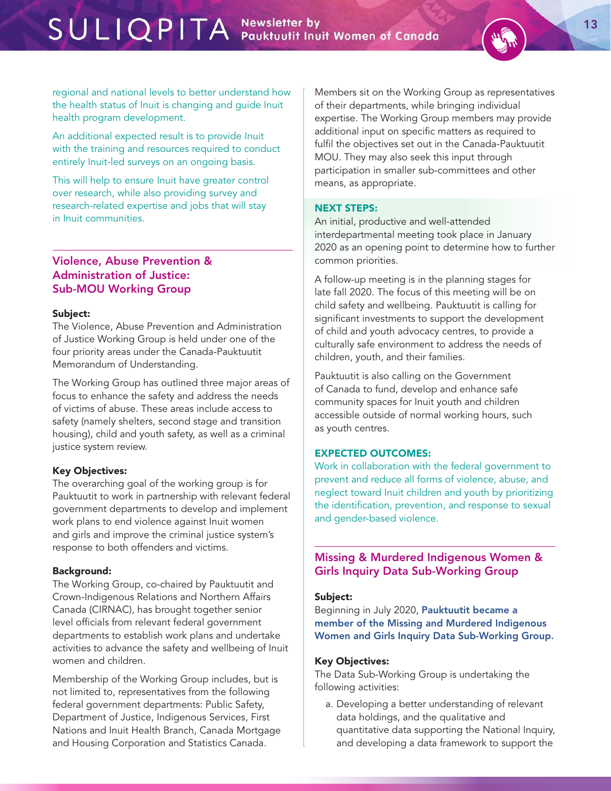regional and national levels to better understand how the health status of Inuit is changing and guide Inuit health program development.

An additional expected result is to provide Inuit with the training and resources required to conduct entirely Inuit-led surveys on an ongoing basis.

This will help to ensure Inuit have greater control over research, while also providing survey and research-related expertise and jobs that will stay in Inuit communities.

#### Violence, Abuse Prevention & Administration of Justice: Sub-MOU Working Group

#### Subject:

The Violence, Abuse Prevention and Administration of Justice Working Group is held under one of the four priority areas under the Canada-Pauktuutit Memorandum of Understanding.

The Working Group has outlined three major areas of focus to enhance the safety and address the needs of victims of abuse. These areas include access to safety (namely shelters, second stage and transition housing), child and youth safety, as well as a criminal justice system review.

#### Key Objectives:

The overarching goal of the working group is for Pauktuutit to work in partnership with relevant federal government departments to develop and implement work plans to end violence against Inuit women and girls and improve the criminal justice system's response to both offenders and victims.

#### Background:

The Working Group, co-chaired by Pauktuutit and Crown-Indigenous Relations and Northern Affairs Canada (CIRNAC), has brought together senior level officials from relevant federal government departments to establish work plans and undertake activities to advance the safety and wellbeing of Inuit women and children.

Membership of the Working Group includes, but is not limited to, representatives from the following federal government departments: Public Safety, Department of Justice, Indigenous Services, First Nations and Inuit Health Branch, Canada Mortgage and Housing Corporation and Statistics Canada.

Members sit on the Working Group as representatives of their departments, while bringing individual expertise. The Working Group members may provide additional input on specific matters as required to fulfil the objectives set out in the Canada-Pauktuutit MOU. They may also seek this input through participation in smaller sub-committees and other means, as appropriate.

#### NEXT STEPS:

An initial, productive and well-attended interdepartmental meeting took place in January 2020 as an opening point to determine how to further common priorities.

A follow-up meeting is in the planning stages for late fall 2020. The focus of this meeting will be on child safety and wellbeing. Pauktuutit is calling for significant investments to support the development of child and youth advocacy centres, to provide a culturally safe environment to address the needs of children, youth, and their families.

Pauktuutit is also calling on the Government of Canada to fund, develop and enhance safe community spaces for Inuit youth and children accessible outside of normal working hours, such as youth centres.

#### EXPECTED OUTCOMES:

Work in collaboration with the federal government to prevent and reduce all forms of violence, abuse, and neglect toward Inuit children and youth by prioritizing the identification, prevention, and response to sexual and gender-based violence.

Missing & Murdered Indigenous Women & Girls Inquiry Data Sub-Working Group

#### Subject:

Beginning in July 2020, Pauktuutit became a member of the Missing and Murdered Indigenous Women and Girls Inquiry Data Sub-Working Group.

#### Key Objectives:

The Data Sub-Working Group is undertaking the following activities:

a. Developing a better understanding of relevant data holdings, and the qualitative and quantitative data supporting the National Inquiry, and developing a data framework to support the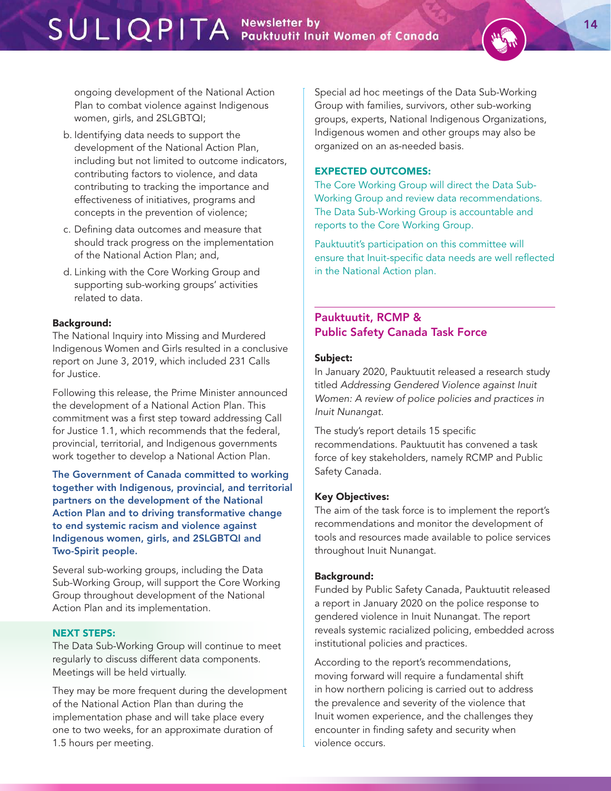ongoing development of the National Action Plan to combat violence against Indigenous women, girls, and 2SLGBTQI;

- b. Identifying data needs to support the development of the National Action Plan, including but not limited to outcome indicators, contributing factors to violence, and data contributing to tracking the importance and effectiveness of initiatives, programs and concepts in the prevention of violence;
- c. Defining data outcomes and measure that should track progress on the implementation of the National Action Plan; and,
- d. Linking with the Core Working Group and supporting sub-working groups' activities related to data.

#### Background:

The National Inquiry into Missing and Murdered Indigenous Women and Girls resulted in a conclusive report on June 3, 2019, which included 231 Calls for Justice.

Following this release, the Prime Minister announced the development of a National Action Plan. This commitment was a first step toward addressing Call for Justice 1.1, which recommends that the federal, provincial, territorial, and Indigenous governments work together to develop a National Action Plan.

The Government of Canada committed to working together with Indigenous, provincial, and territorial partners on the development of the National Action Plan and to driving transformative change to end systemic racism and violence against Indigenous women, girls, and 2SLGBTQI and Two-Spirit people.

Several sub-working groups, including the Data Sub-Working Group, will support the Core Working Group throughout development of the National Action Plan and its implementation.

#### NEXT STEPS:

The Data Sub-Working Group will continue to meet regularly to discuss different data components. Meetings will be held virtually.

They may be more frequent during the development of the National Action Plan than during the implementation phase and will take place every one to two weeks, for an approximate duration of 1.5 hours per meeting.

Special ad hoc meetings of the Data Sub-Working Group with families, survivors, other sub-working groups, experts, National Indigenous Organizations, Indigenous women and other groups may also be organized on an as-needed basis.

#### EXPECTED OUTCOMES:

The Core Working Group will direct the Data Sub-Working Group and review data recommendations. The Data Sub-Working Group is accountable and reports to the Core Working Group.

Pauktuutit's participation on this committee will ensure that Inuit-specific data needs are well reflected in the National Action plan.

#### Pauktuutit, RCMP & Public Safety Canada Task Force

#### Subject:

In January 2020, Pauktuutit released a research study titled *Addressing Gendered Violence against Inuit Women: A review of police policies and practices in Inuit Nunangat*.

The study's report details 15 specific recommendations. Pauktuutit has convened a task force of key stakeholders, namely RCMP and Public Safety Canada.

#### Key Objectives:

The aim of the task force is to implement the report's recommendations and monitor the development of tools and resources made available to police services throughout Inuit Nunangat.

#### Background:

Funded by Public Safety Canada, Pauktuutit released a report in January 2020 on the police response to gendered violence in Inuit Nunangat. The report reveals systemic racialized policing, embedded across institutional policies and practices.

According to the report's recommendations, moving forward will require a fundamental shift in how northern policing is carried out to address the prevalence and severity of the violence that Inuit women experience, and the challenges they encounter in finding safety and security when violence occurs.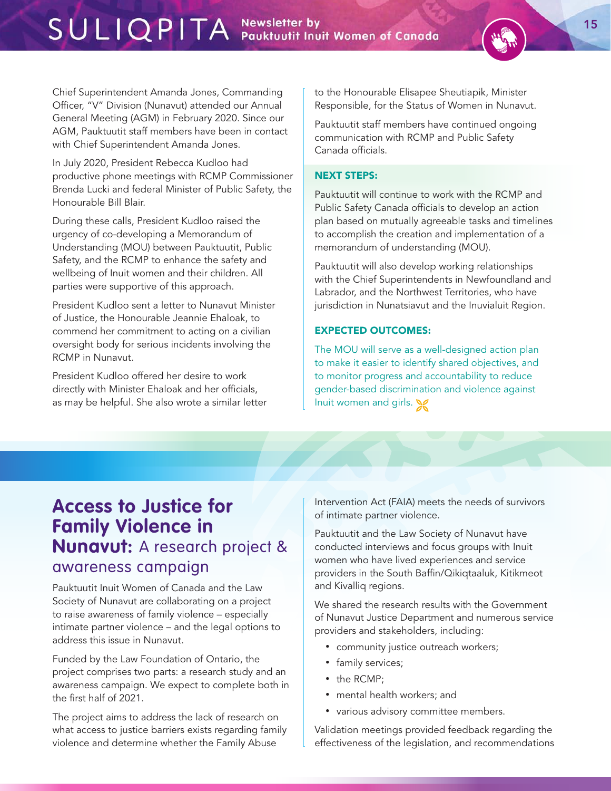Chief Superintendent Amanda Jones, Commanding Officer, "V" Division (Nunavut) attended our Annual General Meeting (AGM) in February 2020. Since our AGM, Pauktuutit staff members have been in contact with Chief Superintendent Amanda Jones.

In July 2020, President Rebecca Kudloo had productive phone meetings with RCMP Commissioner Brenda Lucki and federal Minister of Public Safety, the Honourable Bill Blair.

During these calls, President Kudloo raised the urgency of co-developing a Memorandum of Understanding (MOU) between Pauktuutit, Public Safety, and the RCMP to enhance the safety and wellbeing of Inuit women and their children. All parties were supportive of this approach.

President Kudloo sent a letter to Nunavut Minister of Justice, the Honourable Jeannie Ehaloak, to commend her commitment to acting on a civilian oversight body for serious incidents involving the RCMP in Nunavut.

President Kudloo offered her desire to work directly with Minister Ehaloak and her officials, as may be helpful. She also wrote a similar letter to the Honourable Elisapee Sheutiapik, Minister Responsible, for the Status of Women in Nunavut.

Pauktuutit staff members have continued ongoing communication with RCMP and Public Safety Canada officials.

#### NEXT STEPS:

Pauktuutit will continue to work with the RCMP and Public Safety Canada officials to develop an action plan based on mutually agreeable tasks and timelines to accomplish the creation and implementation of a memorandum of understanding (MOU).

Pauktuutit will also develop working relationships with the Chief Superintendents in Newfoundland and Labrador, and the Northwest Territories, who have jurisdiction in Nunatsiavut and the Inuvialuit Region.

#### EXPECTED OUTCOMES:

The MOU will serve as a well-designed action plan to make it easier to identify shared objectives, and to monitor progress and accountability to reduce gender-based discrimination and violence against Inuit women and girls.

# **Access to Justice for Family Violence in Nunavut:** A research project & awareness campaign

Pauktuutit Inuit Women of Canada and the Law Society of Nunavut are collaborating on a project to raise awareness of family violence – especially intimate partner violence – and the legal options to address this issue in Nunavut.

Funded by the Law Foundation of Ontario, the project comprises two parts: a research study and an awareness campaign. We expect to complete both in the first half of 2021.

The project aims to address the lack of research on what access to justice barriers exists regarding family violence and determine whether the Family Abuse

Intervention Act (FAIA) meets the needs of survivors of intimate partner violence.

Pauktuutit and the Law Society of Nunavut have conducted interviews and focus groups with Inuit women who have lived experiences and service providers in the South Baffin/Qikiqtaaluk, Kitikmeot and Kivalliq regions.

We shared the research results with the Government of Nunavut Justice Department and numerous service providers and stakeholders, including:

- community justice outreach workers;
- family services;
- the RCMP;
- mental health workers; and
- various advisory committee members.

Validation meetings provided feedback regarding the effectiveness of the legislation, and recommendations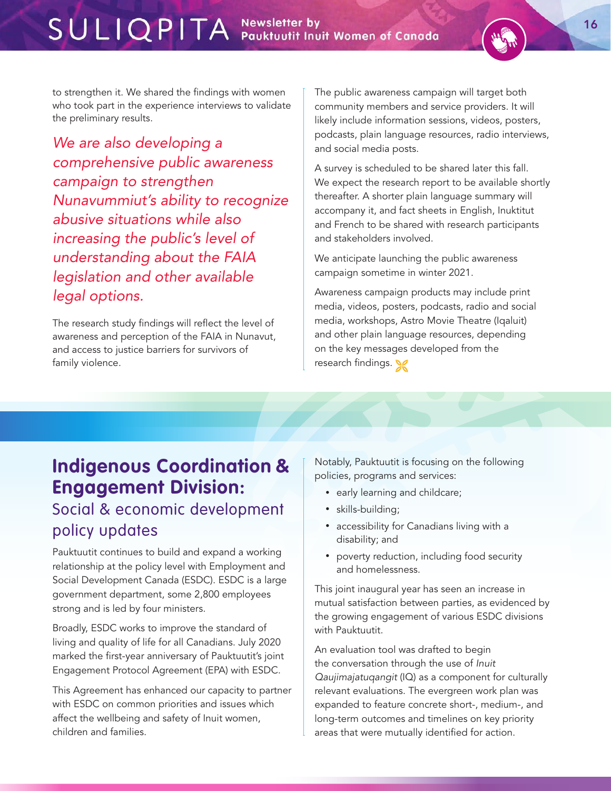to strengthen it. We shared the findings with women who took part in the experience interviews to validate the preliminary results.

*We are also developing a comprehensive public awareness campaign to strengthen Nunavummiut's ability to recognize abusive situations while also increasing the public's level of understanding about the FAIA legislation and other available legal options.* 

The research study findings will reflect the level of awareness and perception of the FAIA in Nunavut, and access to justice barriers for survivors of family violence.

The public awareness campaign will target both community members and service providers. It will likely include information sessions, videos, posters, podcasts, plain language resources, radio interviews, and social media posts.

A survey is scheduled to be shared later this fall. We expect the research report to be available shortly thereafter. A shorter plain language summary will accompany it, and fact sheets in English, Inuktitut and French to be shared with research participants and stakeholders involved.

We anticipate launching the public awareness campaign sometime in winter 2021.

Awareness campaign products may include print media, videos, posters, podcasts, radio and social media, workshops, Astro Movie Theatre (Iqaluit) and other plain language resources, depending on the key messages developed from the research findings.

# **Indigenous Coordination & Engagement Division:**

### Social & economic development policy updates

Pauktuutit continues to build and expand a working relationship at the policy level with Employment and Social Development Canada (ESDC). ESDC is a large government department, some 2,800 employees strong and is led by four ministers.

Broadly, ESDC works to improve the standard of living and quality of life for all Canadians. July 2020 marked the first-year anniversary of Pauktuutit's joint Engagement Protocol Agreement (EPA) with ESDC.

This Agreement has enhanced our capacity to partner with ESDC on common priorities and issues which affect the wellbeing and safety of Inuit women, children and families.

Notably, Pauktuutit is focusing on the following policies, programs and services:

- early learning and childcare;
- skills-building;
- accessibility for Canadians living with a disability; and
- poverty reduction, including food security and homelessness.

This joint inaugural year has seen an increase in mutual satisfaction between parties, as evidenced by the growing engagement of various ESDC divisions with Pauktuutit.

An evaluation tool was drafted to begin the conversation through the use of *Inuit Qaujimajatuqangit* (IQ) as a component for culturally relevant evaluations. The evergreen work plan was expanded to feature concrete short-, medium-, and long-term outcomes and timelines on key priority areas that were mutually identified for action.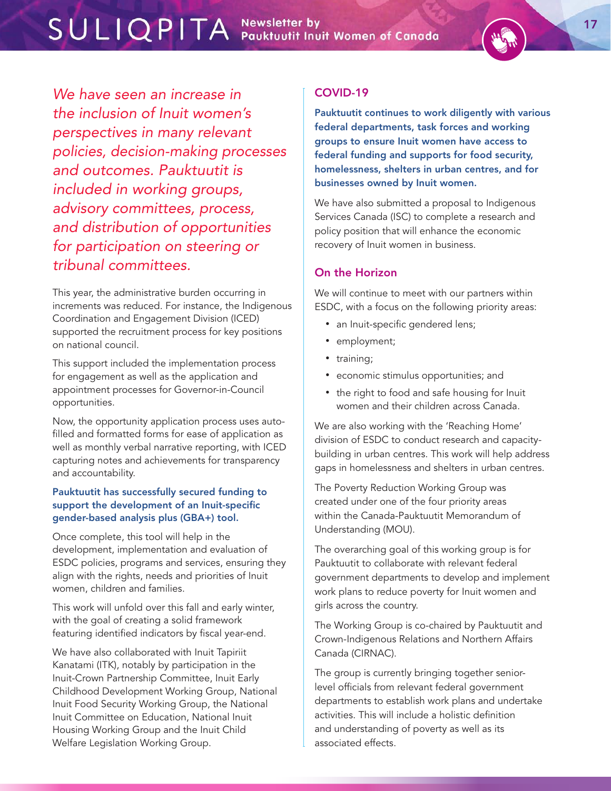*We have seen an increase in the inclusion of Inuit women's perspectives in many relevant policies, decision-making processes and outcomes. Pauktuutit is included in working groups, advisory committees, process, and distribution of opportunities for participation on steering or tribunal committees.* 

This year, the administrative burden occurring in increments was reduced. For instance, the Indigenous Coordination and Engagement Division (ICED) supported the recruitment process for key positions on national council.

This support included the implementation process for engagement as well as the application and appointment processes for Governor-in-Council opportunities.

Now, the opportunity application process uses autofilled and formatted forms for ease of application as well as monthly verbal narrative reporting, with ICED capturing notes and achievements for transparency and accountability.

#### Pauktuutit has successfully secured funding to support the development of an Inuit-specific gender-based analysis plus (GBA+) tool.

Once complete, this tool will help in the development, implementation and evaluation of ESDC policies, programs and services, ensuring they align with the rights, needs and priorities of Inuit women, children and families.

This work will unfold over this fall and early winter, with the goal of creating a solid framework featuring identified indicators by fiscal year-end.

We have also collaborated with Inuit Tapiriit Kanatami (ITK), notably by participation in the Inuit-Crown Partnership Committee, Inuit Early Childhood Development Working Group, National Inuit Food Security Working Group, the National Inuit Committee on Education, National Inuit Housing Working Group and the Inuit Child Welfare Legislation Working Group.

#### COVID-19

Pauktuutit continues to work diligently with various federal departments, task forces and working groups to ensure Inuit women have access to federal funding and supports for food security, homelessness, shelters in urban centres, and for businesses owned by Inuit women.

We have also submitted a proposal to Indigenous Services Canada (ISC) to complete a research and policy position that will enhance the economic recovery of Inuit women in business.

#### On the Horizon

We will continue to meet with our partners within ESDC, with a focus on the following priority areas:

- an Inuit-specific gendered lens;
- employment;
- training;
- economic stimulus opportunities; and
- the right to food and safe housing for Inuit women and their children across Canada.

We are also working with the 'Reaching Home' division of ESDC to conduct research and capacitybuilding in urban centres. This work will help address gaps in homelessness and shelters in urban centres.

The Poverty Reduction Working Group was created under one of the four priority areas within the Canada-Pauktuutit Memorandum of Understanding (MOU).

The overarching goal of this working group is for Pauktuutit to collaborate with relevant federal government departments to develop and implement work plans to reduce poverty for Inuit women and girls across the country.

The Working Group is co-chaired by Pauktuutit and Crown-Indigenous Relations and Northern Affairs Canada (CIRNAC).

The group is currently bringing together seniorlevel officials from relevant federal government departments to establish work plans and undertake activities. This will include a holistic definition and understanding of poverty as well as its associated effects.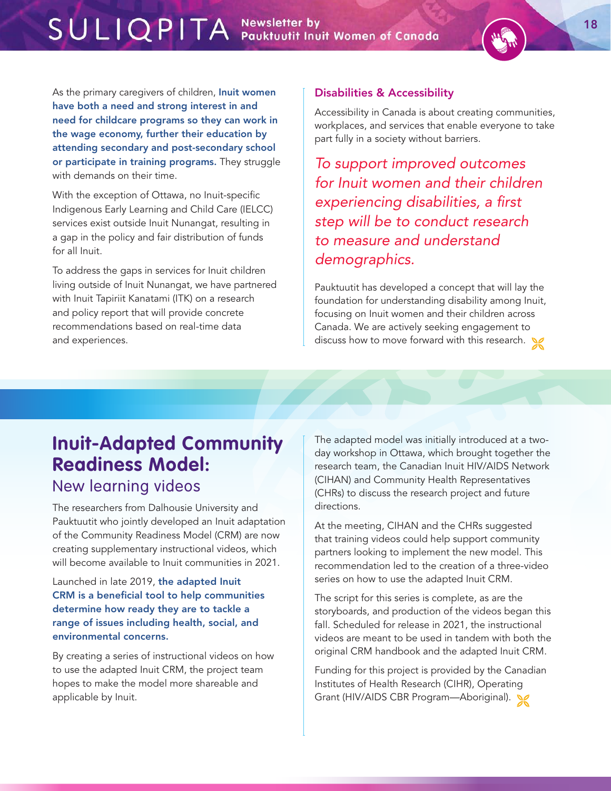As the primary caregivers of children, Inuit women have both a need and strong interest in and need for childcare programs so they can work in the wage economy, further their education by attending secondary and post-secondary school or participate in training programs. They struggle with demands on their time.

With the exception of Ottawa, no Inuit-specific Indigenous Early Learning and Child Care (IELCC) services exist outside Inuit Nunangat, resulting in a gap in the policy and fair distribution of funds for all Inuit.

To address the gaps in services for Inuit children living outside of Inuit Nunangat, we have partnered with Inuit Tapiriit Kanatami (ITK) on a research and policy report that will provide concrete recommendations based on real-time data and experiences.

#### Disabilities & Accessibility

Accessibility in Canada is about creating communities, workplaces, and services that enable everyone to take part fully in a society without barriers.

*To support improved outcomes for Inuit women and their children experiencing disabilities, a first step will be to conduct research to measure and understand demographics.* 

Pauktuutit has developed a concept that will lay the foundation for understanding disability among Inuit, focusing on Inuit women and their children across Canada. We are actively seeking engagement to discuss how to move forward with this research.

# **Inuit-Adapted Community Readiness Model:**  New learning videos

The researchers from Dalhousie University and Pauktuutit who jointly developed an Inuit adaptation of the Community Readiness Model (CRM) are now creating supplementary instructional videos, which will become available to Inuit communities in 2021.

Launched in late 2019, the adapted Inuit CRM is a beneficial tool to help communities determine how ready they are to tackle a range of issues including health, social, and environmental concerns.

By creating a series of instructional videos on how to use the adapted Inuit CRM, the project team hopes to make the model more shareable and applicable by Inuit.

The adapted model was initially introduced at a twoday workshop in Ottawa, which brought together the research team, the Canadian Inuit HIV/AIDS Network (CIHAN) and Community Health Representatives (CHRs) to discuss the research project and future directions.

At the meeting, CIHAN and the CHRs suggested that training videos could help support community partners looking to implement the new model. This recommendation led to the creation of a three-video series on how to use the adapted Inuit CRM.

The script for this series is complete, as are the storyboards, and production of the videos began this fall. Scheduled for release in 2021, the instructional videos are meant to be used in tandem with both the original CRM handbook and the adapted Inuit CRM.

Funding for this project is provided by the Canadian Institutes of Health Research (CIHR), Operating Grant (HIV/AIDS CBR Program—Aboriginal).